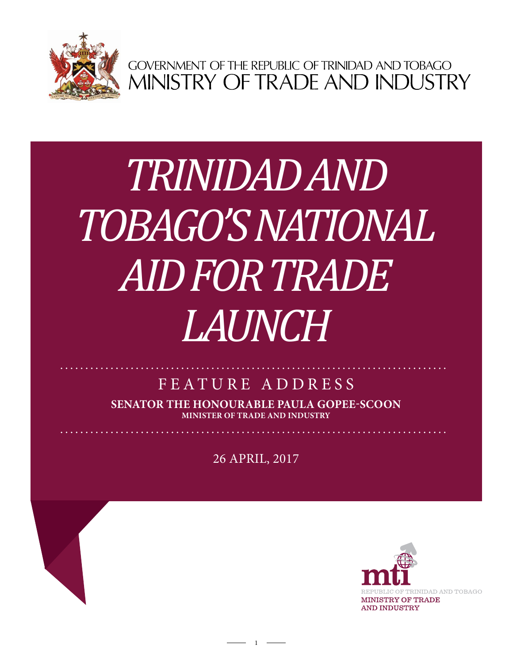

GOVERNMENT OF THE REPUBLIC OF TRINIDAD AND TOBAGO<br>MINISTRY OF TRADE AND INDUSTRY

## Trinidad *Music Company ltd. TRINIDAD AND TOBAGO'S NATIONAL AID FOR TRADE LAUNCH*

## FEATURE ADDRESS

**Senator the Honourable Paula Gopee-Scoon Minister of Trade and Industry**

26 April, 2017

1

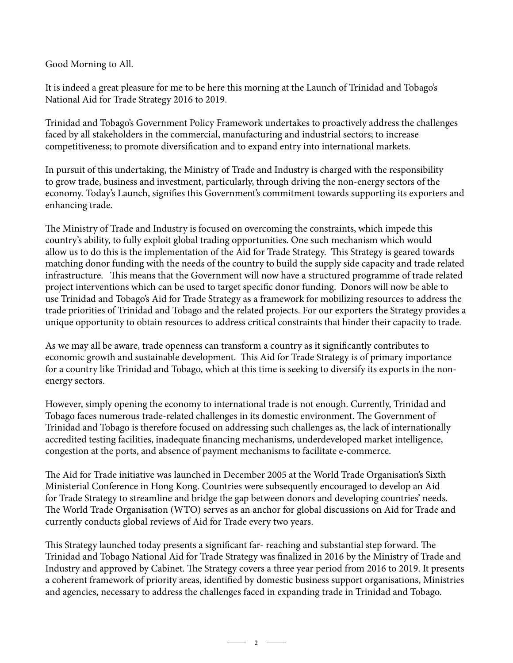Good Morning to All.

It is indeed a great pleasure for me to be here this morning at the Launch of Trinidad and Tobago's National Aid for Trade Strategy 2016 to 2019.

Trinidad and Tobago's Government Policy Framework undertakes to proactively address the challenges faced by all stakeholders in the commercial, manufacturing and industrial sectors; to increase competitiveness; to promote diversification and to expand entry into international markets.

In pursuit of this undertaking, the Ministry of Trade and Industry is charged with the responsibility to grow trade, business and investment, particularly, through driving the non-energy sectors of the economy. Today's Launch, signifies this Government's commitment towards supporting its exporters and enhancing trade.

The Ministry of Trade and Industry is focused on overcoming the constraints, which impede this country's ability, to fully exploit global trading opportunities. One such mechanism which would allow us to do this is the implementation of the Aid for Trade Strategy. This Strategy is geared towards matching donor funding with the needs of the country to build the supply side capacity and trade related infrastructure. This means that the Government will now have a structured programme of trade related project interventions which can be used to target specific donor funding. Donors will now be able to use Trinidad and Tobago's Aid for Trade Strategy as a framework for mobilizing resources to address the trade priorities of Trinidad and Tobago and the related projects. For our exporters the Strategy provides a unique opportunity to obtain resources to address critical constraints that hinder their capacity to trade.

As we may all be aware, trade openness can transform a country as it significantly contributes to economic growth and sustainable development. This Aid for Trade Strategy is of primary importance for a country like Trinidad and Tobago, which at this time is seeking to diversify its exports in the nonenergy sectors.

However, simply opening the economy to international trade is not enough. Currently, Trinidad and Tobago faces numerous trade-related challenges in its domestic environment. The Government of Trinidad and Tobago is therefore focused on addressing such challenges as, the lack of internationally accredited testing facilities, inadequate financing mechanisms, underdeveloped market intelligence, congestion at the ports, and absence of payment mechanisms to facilitate e-commerce.

The Aid for Trade initiative was launched in December 2005 at the World Trade Organisation's Sixth Ministerial Conference in Hong Kong. Countries were subsequently encouraged to develop an Aid for Trade Strategy to streamline and bridge the gap between donors and developing countries' needs. The World Trade Organisation (WTO) serves as an anchor for global discussions on Aid for Trade and currently conducts global reviews of Aid for Trade every two years.

This Strategy launched today presents a significant far- reaching and substantial step forward. The Trinidad and Tobago National Aid for Trade Strategy was finalized in 2016 by the Ministry of Trade and Industry and approved by Cabinet. The Strategy covers a three year period from 2016 to 2019. It presents a coherent framework of priority areas, identified by domestic business support organisations, Ministries and agencies, necessary to address the challenges faced in expanding trade in Trinidad and Tobago.

 $\overline{\phantom{a}}$  2  $\overline{\phantom{a}}$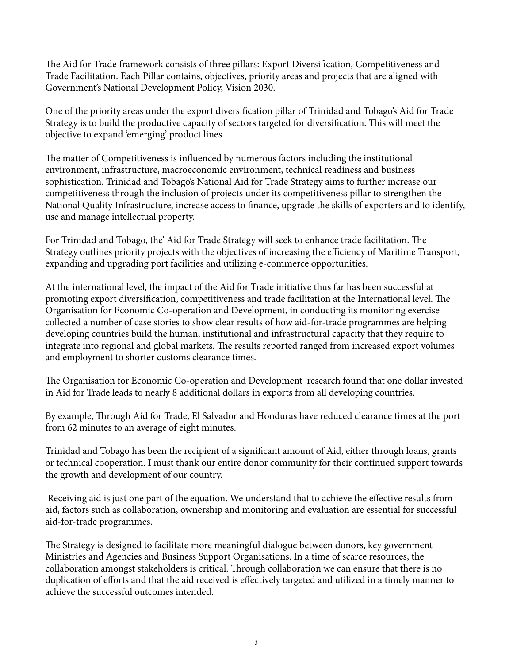The Aid for Trade framework consists of three pillars: Export Diversification, Competitiveness and Trade Facilitation. Each Pillar contains, objectives, priority areas and projects that are aligned with Government's National Development Policy, Vision 2030.

One of the priority areas under the export diversification pillar of Trinidad and Tobago's Aid for Trade Strategy is to build the productive capacity of sectors targeted for diversification. This will meet the objective to expand 'emerging' product lines.

The matter of Competitiveness is influenced by numerous factors including the institutional environment, infrastructure, macroeconomic environment, technical readiness and business sophistication. Trinidad and Tobago's National Aid for Trade Strategy aims to further increase our competitiveness through the inclusion of projects under its competitiveness pillar to strengthen the National Quality Infrastructure, increase access to finance, upgrade the skills of exporters and to identify, use and manage intellectual property.

For Trinidad and Tobago, the' Aid for Trade Strategy will seek to enhance trade facilitation. The Strategy outlines priority projects with the objectives of increasing the efficiency of Maritime Transport, expanding and upgrading port facilities and utilizing e-commerce opportunities.

At the international level, the impact of the Aid for Trade initiative thus far has been successful at promoting export diversification, competitiveness and trade facilitation at the International level. The Organisation for Economic Co-operation and Development, in conducting its monitoring exercise collected a number of case stories to show clear results of how aid-for-trade programmes are helping developing countries build the human, institutional and infrastructural capacity that they require to integrate into regional and global markets. The results reported ranged from increased export volumes and employment to shorter customs clearance times.

The Organisation for Economic Co-operation and Development research found that one dollar invested in Aid for Trade leads to nearly 8 additional dollars in exports from all developing countries.

By example, Through Aid for Trade, El Salvador and Honduras have reduced clearance times at the port from 62 minutes to an average of eight minutes.

Trinidad and Tobago has been the recipient of a significant amount of Aid, either through loans, grants or technical cooperation. I must thank our entire donor community for their continued support towards the growth and development of our country.

Receiving aid is just one part of the equation. We understand that to achieve the effective results from aid, factors such as collaboration, ownership and monitoring and evaluation are essential for successful aid-for-trade programmes.

The Strategy is designed to facilitate more meaningful dialogue between donors, key government Ministries and Agencies and Business Support Organisations. In a time of scarce resources, the collaboration amongst stakeholders is critical. Through collaboration we can ensure that there is no duplication of efforts and that the aid received is effectively targeted and utilized in a timely manner to achieve the successful outcomes intended.